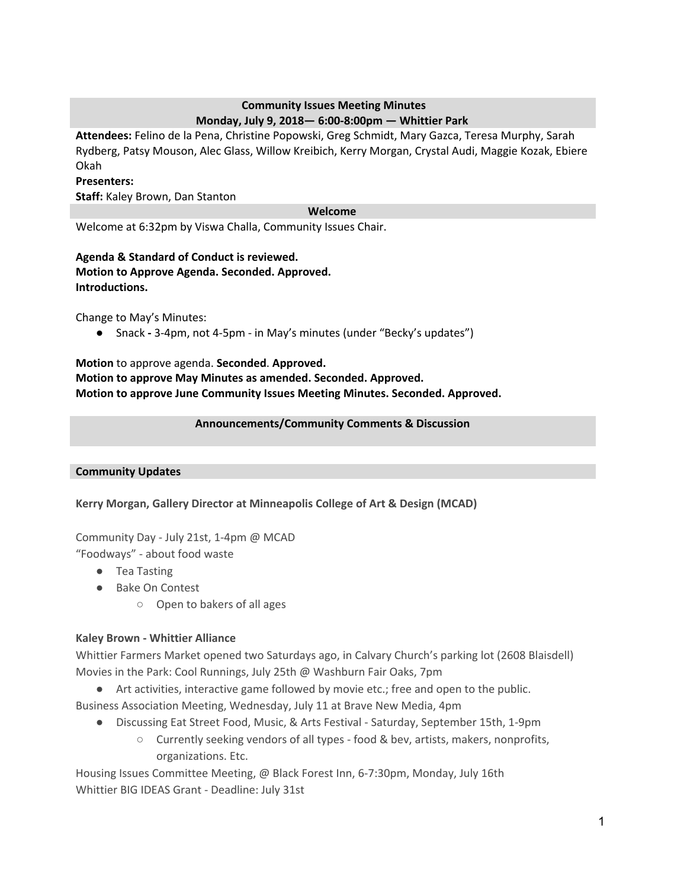# **Community Issues Meeting Minutes Monday, July 9, 2018— 6:00-8:00pm — Whittier Park**

**Attendees:** Felino de la Pena, Christine Popowski, Greg Schmidt, Mary Gazca, Teresa Murphy, Sarah Rydberg, Patsy Mouson, Alec Glass, Willow Kreibich, Kerry Morgan, Crystal Audi, Maggie Kozak, Ebiere Okah

## **Presenters:**

**Staff:** Kaley Brown, Dan Stanton

#### **Welcome**

Welcome at 6:32pm by Viswa Challa, Community Issues Chair.

# **Agenda & Standard of Conduct is reviewed.**

**Motion to Approve Agenda. Seconded. Approved. Introductions.**

Change to May's Minutes:

● Snack **-** 3-4pm, not 4-5pm - in May's minutes (under "Becky's updates")

# **Motion** to approve agenda. **Seconded**. **Approved. Motion to approve May Minutes as amended. Seconded. Approved. Motion to approve June Community Issues Meeting Minutes. Seconded. Approved.**

## **Announcements/Community Comments & Discussion**

#### **Community Updates**

# **Kerry Morgan, Gallery Director at Minneapolis College of Art & Design (MCAD)**

Community Day - July 21st, 1-4pm @ MCAD

"Foodways" - about food waste

- Tea Tasting
- Bake On Contest
	- Open to bakers of all ages

# **Kaley Brown - Whittier Alliance**

Whittier Farmers Market opened two Saturdays ago, in Calvary Church's parking lot (2608 Blaisdell) Movies in the Park: Cool Runnings, July 25th @ Washburn Fair Oaks, 7pm

● Art activities, interactive game followed by movie etc.; free and open to the public.

Business Association Meeting, Wednesday, July 11 at Brave New Media, 4pm

- Discussing Eat Street Food, Music, & Arts Festival Saturday, September 15th, 1-9pm
	- Currently seeking vendors of all types food & bev, artists, makers, nonprofits, organizations. Etc.

Housing Issues Committee Meeting, @ Black Forest Inn, 6-7:30pm, Monday, July 16th Whittier BIG IDEAS Grant - Deadline: July 31st